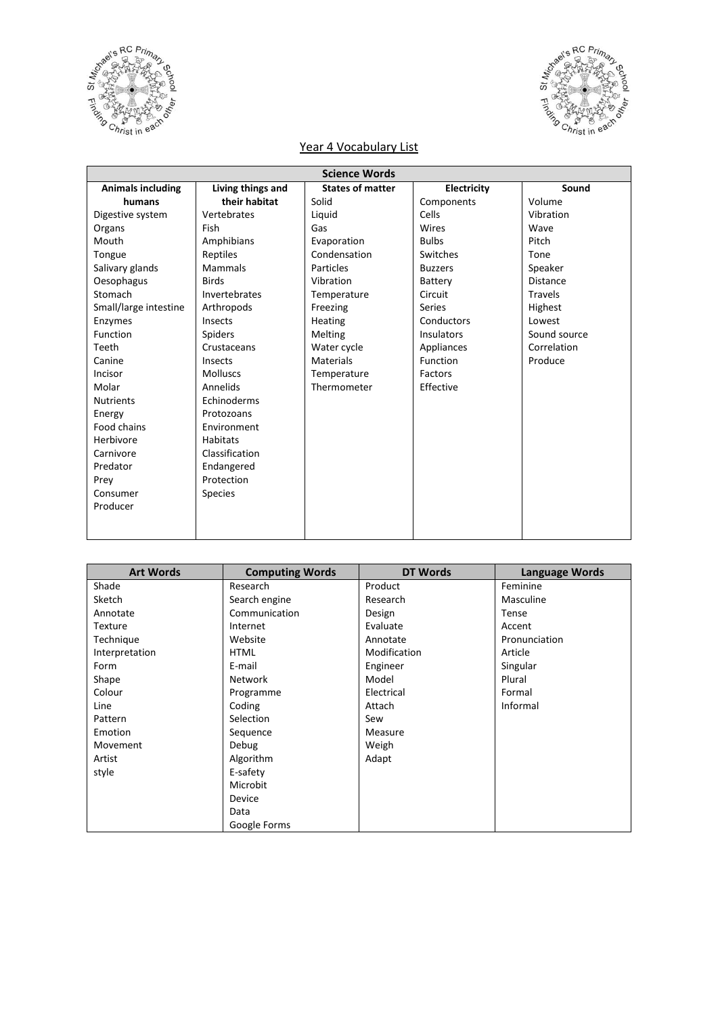



## Year 4 Vocabulary List

| <b>Science Words</b>     |                   |                         |                |                 |
|--------------------------|-------------------|-------------------------|----------------|-----------------|
| <b>Animals including</b> | Living things and | <b>States of matter</b> | Electricity    | Sound           |
| humans                   | their habitat     | Solid                   | Components     | Volume          |
| Digestive system         | Vertebrates       | Liquid                  | Cells          | Vibration       |
| Organs                   | Fish              | Gas                     | Wires          | Wave            |
| Mouth                    | Amphibians        | Evaporation             | <b>Bulbs</b>   | Pitch           |
| Tongue                   | Reptiles          | Condensation            | Switches       | Tone            |
| Salivary glands          | Mammals           | Particles               | <b>Buzzers</b> | Speaker         |
| Oesophagus               | <b>Birds</b>      | Vibration               | Battery        | <b>Distance</b> |
| Stomach                  | Invertebrates     | Temperature             | Circuit        | <b>Travels</b>  |
| Small/large intestine    | Arthropods        | Freezing                | Series         | Highest         |
| Enzymes                  | Insects           | <b>Heating</b>          | Conductors     | Lowest          |
| Function                 | <b>Spiders</b>    | <b>Melting</b>          | Insulators     | Sound source    |
| Teeth                    | Crustaceans       | Water cycle             | Appliances     | Correlation     |
| Canine                   | Insects           | Materials               | Function       | Produce         |
| Incisor                  | <b>Molluscs</b>   | Temperature             | Factors        |                 |
| Molar                    | Annelids          | Thermometer             | Effective      |                 |
| <b>Nutrients</b>         | Echinoderms       |                         |                |                 |
| Energy                   | Protozoans        |                         |                |                 |
| Food chains              | Environment       |                         |                |                 |
| Herbivore                | <b>Habitats</b>   |                         |                |                 |
| Carnivore                | Classification    |                         |                |                 |
| Predator                 | Endangered        |                         |                |                 |
| Prey                     | Protection        |                         |                |                 |
| Consumer                 | <b>Species</b>    |                         |                |                 |
| Producer                 |                   |                         |                |                 |
|                          |                   |                         |                |                 |
|                          |                   |                         |                |                 |

| <b>Art Words</b> | <b>Computing Words</b> | <b>DT Words</b> | <b>Language Words</b> |
|------------------|------------------------|-----------------|-----------------------|
| Shade            | Research               | Product         | Feminine              |
| Sketch           | Search engine          | Research        | Masculine             |
| Annotate         | Communication          | Design          | Tense                 |
| <b>Texture</b>   | Internet               | Evaluate        | Accent                |
| Technique        | Website                | Annotate        | Pronunciation         |
| Interpretation   | <b>HTML</b>            | Modification    | Article               |
| Form             | E-mail                 | Engineer        | Singular              |
| Shape            | <b>Network</b>         | Model           | Plural                |
| Colour           | Programme              | Electrical      | Formal                |
| Line             | Coding                 | Attach          | Informal              |
| Pattern          | Selection              | Sew             |                       |
| Emotion          | Sequence               | Measure         |                       |
| Movement         | Debug                  | Weigh           |                       |
| Artist           | Algorithm              | Adapt           |                       |
| style            | E-safety               |                 |                       |
|                  | Microbit               |                 |                       |
|                  | Device                 |                 |                       |
|                  | Data                   |                 |                       |
|                  | Google Forms           |                 |                       |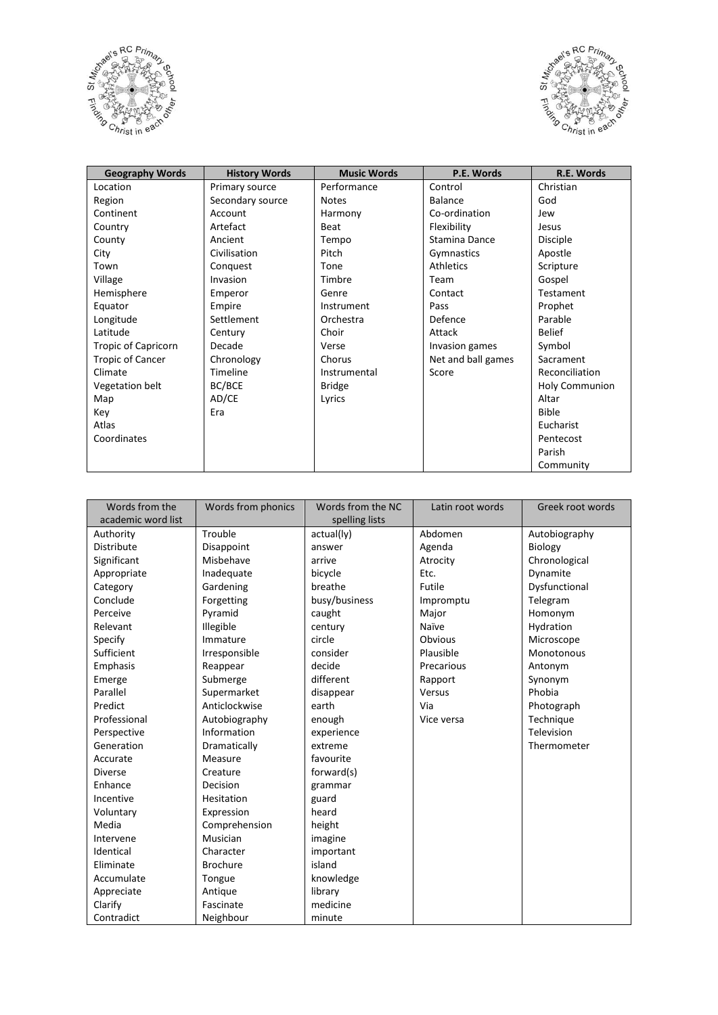



| <b>Geography Words</b>     | <b>History Words</b> | <b>Music Words</b> | P.E. Words         | R.E. Words            |
|----------------------------|----------------------|--------------------|--------------------|-----------------------|
| Location                   | Primary source       | Performance        | Control            | Christian             |
| Region                     | Secondary source     | <b>Notes</b>       | <b>Balance</b>     | God                   |
| Continent                  | Account              | Harmony            | Co-ordination      | Jew                   |
| Country                    | Artefact             | Beat               | Flexibility        | Jesus                 |
| County                     | Ancient              | Tempo              | Stamina Dance      | <b>Disciple</b>       |
| City                       | Civilisation         | Pitch              | Gymnastics         | Apostle               |
| Town                       | Conquest             | Tone               | Athletics          | Scripture             |
| Village                    | Invasion             | Timbre             | Team               | Gospel                |
| Hemisphere                 | Emperor              | Genre              | Contact            | Testament             |
| Equator                    | Empire               | Instrument         | Pass               | Prophet               |
| Longitude                  | Settlement           | Orchestra          | Defence            | Parable               |
| Latitude                   | Century              | Choir              | Attack             | <b>Belief</b>         |
| <b>Tropic of Capricorn</b> | Decade               | Verse              | Invasion games     | Symbol                |
| <b>Tropic of Cancer</b>    | Chronology           | Chorus             | Net and ball games | Sacrament             |
| Climate                    | Timeline             | Instrumental       | Score              | Reconciliation        |
| Vegetation belt            | BC/BCE               | <b>Bridge</b>      |                    | <b>Holy Communion</b> |
| Map                        | AD/CE                | Lyrics             |                    | Altar                 |
| Key                        | Era                  |                    |                    | <b>Bible</b>          |
| Atlas                      |                      |                    |                    | Eucharist             |
| Coordinates                |                      |                    |                    | Pentecost             |
|                            |                      |                    |                    | Parish                |
|                            |                      |                    |                    | Community             |

| Words from the     | Words from phonics | Words from the NC | Latin root words | Greek root words |
|--------------------|--------------------|-------------------|------------------|------------------|
| academic word list |                    | spelling lists    |                  |                  |
| Authority          | Trouble            | actual(ly)        | Abdomen          | Autobiography    |
| <b>Distribute</b>  | Disappoint         | answer            | Agenda           | <b>Biology</b>   |
| Significant        | Misbehave          | arrive            | Atrocity         | Chronological    |
| Appropriate        | Inadequate         | bicycle           | Etc.             | Dynamite         |
| Category           | Gardening          | breathe           | Futile           | Dysfunctional    |
| Conclude           | Forgetting         | busy/business     | Impromptu        | Telegram         |
| Perceive           | Pyramid            | caught            | Major            | Homonym          |
| Relevant           | Illegible          | century           | Naïve            | Hydration        |
| Specify            | Immature           | circle            | Obvious          | Microscope       |
| Sufficient         | Irresponsible      | consider          | Plausible        | Monotonous       |
| Emphasis           | Reappear           | decide            | Precarious       | Antonym          |
| Emerge             | Submerge           | different         | Rapport          | Synonym          |
| Parallel           | Supermarket        | disappear         | Versus           | Phobia           |
| Predict            | Anticlockwise      | earth             | Via              | Photograph       |
| Professional       | Autobiography      | enough            | Vice versa       | Technique        |
| Perspective        | Information        | experience        |                  | Television       |
| Generation         | Dramatically       | extreme           |                  | Thermometer      |
| Accurate           | Measure            | favourite         |                  |                  |
| <b>Diverse</b>     | Creature           | forward(s)        |                  |                  |
| Enhance            | Decision           | grammar           |                  |                  |
| Incentive          | Hesitation         | guard             |                  |                  |
| Voluntary          | Expression         | heard             |                  |                  |
| Media              | Comprehension      | height            |                  |                  |
| Intervene          | Musician           | imagine           |                  |                  |
| Identical          | Character          | important         |                  |                  |
| Eliminate          | <b>Brochure</b>    | island            |                  |                  |
| Accumulate         | Tongue             | knowledge         |                  |                  |
| Appreciate         | Antique            | library           |                  |                  |
| Clarify            | Fascinate          | medicine          |                  |                  |
| Contradict         | Neighbour          | minute            |                  |                  |